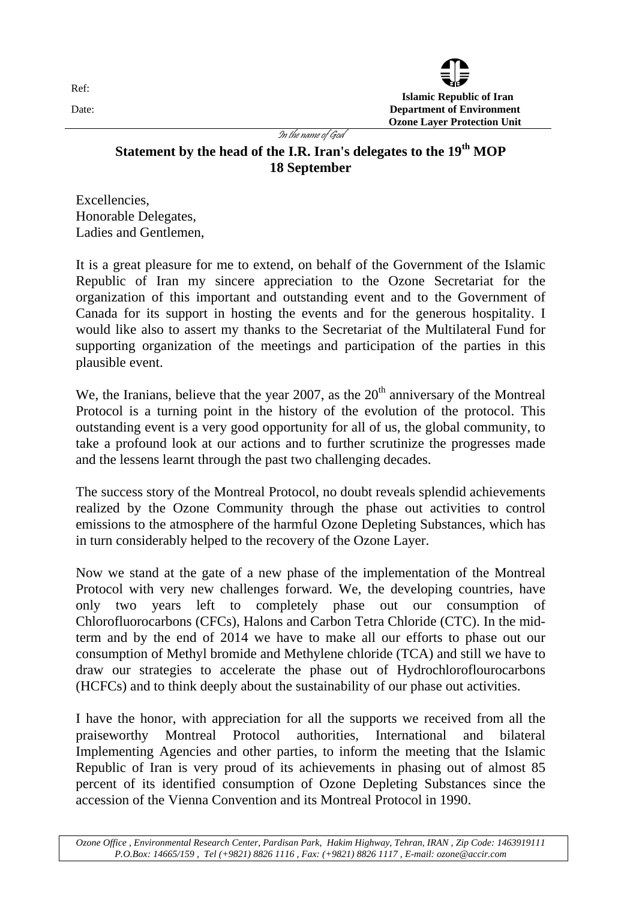

In the name of God

## Statement by the head of the I.R. Iran's delegates to the 19<sup>th</sup> MOP **18 September**

Excellencies, Honorable Delegates, Ladies and Gentlemen,

It is a great pleasure for me to extend, on behalf of the Government of the Islamic Republic of Iran my sincere appreciation to the Ozone Secretariat for the organization of this important and outstanding event and to the Government of Canada for its support in hosting the events and for the generous hospitality. I would like also to assert my thanks to the Secretariat of the Multilateral Fund for supporting organization of the meetings and participation of the parties in this plausible event.

We, the Iranians, believe that the year 2007, as the  $20<sup>th</sup>$  anniversary of the Montreal Protocol is a turning point in the history of the evolution of the protocol. This outstanding event is a very good opportunity for all of us, the global community, to take a profound look at our actions and to further scrutinize the progresses made and the lessens learnt through the past two challenging decades.

The success story of the Montreal Protocol, no doubt reveals splendid achievements realized by the Ozone Community through the phase out activities to control emissions to the atmosphere of the harmful Ozone Depleting Substances, which has in turn considerably helped to the recovery of the Ozone Layer.

Now we stand at the gate of a new phase of the implementation of the Montreal Protocol with very new challenges forward. We, the developing countries, have only two years left to completely phase out our consumption of Chlorofluorocarbons (CFCs), Halons and Carbon Tetra Chloride (CTC). In the midterm and by the end of 2014 we have to make all our efforts to phase out our consumption of Methyl bromide and Methylene chloride (TCA) and still we have to draw our strategies to accelerate the phase out of Hydrochloroflourocarbons (HCFCs) and to think deeply about the sustainability of our phase out activities.

I have the honor, with appreciation for all the supports we received from all the praiseworthy Montreal Protocol authorities, International and bilateral Implementing Agencies and other parties, to inform the meeting that the Islamic Republic of Iran is very proud of its achievements in phasing out of almost 85 percent of its identified consumption of Ozone Depleting Substances since the accession of the Vienna Convention and its Montreal Protocol in 1990.

Ref: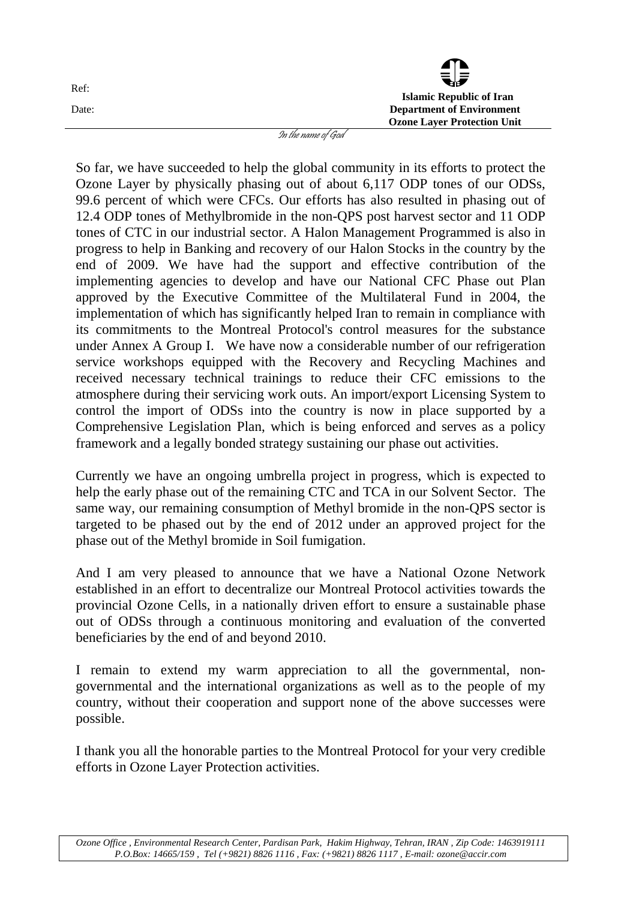| Ref:  |               | $\bar{\mathbf{v}}$                 |
|-------|---------------|------------------------------------|
|       |               | <b>Islamic Republic of Iran</b>    |
| Date: |               | <b>Department of Environment</b>   |
|       |               | <b>Ozone Layer Protection Unit</b> |
|       | . .<br>$\sim$ |                                    |

In the name of God

So far, we have succeeded to help the global community in its efforts to protect the Ozone Layer by physically phasing out of about 6,117 ODP tones of our ODSs, 99.6 percent of which were CFCs. Our efforts has also resulted in phasing out of 12.4 ODP tones of Methylbromide in the non-QPS post harvest sector and 11 ODP tones of CTC in our industrial sector. A Halon Management Programmed is also in progress to help in Banking and recovery of our Halon Stocks in the country by the end of 2009. We have had the support and effective contribution of the implementing agencies to develop and have our National CFC Phase out Plan approved by the Executive Committee of the Multilateral Fund in 2004, the implementation of which has significantly helped Iran to remain in compliance with its commitments to the Montreal Protocol's control measures for the substance under Annex A Group I. We have now a considerable number of our refrigeration service workshops equipped with the Recovery and Recycling Machines and received necessary technical trainings to reduce their CFC emissions to the atmosphere during their servicing work outs. An import/export Licensing System to control the import of ODSs into the country is now in place supported by a Comprehensive Legislation Plan, which is being enforced and serves as a policy framework and a legally bonded strategy sustaining our phase out activities.

Currently we have an ongoing umbrella project in progress, which is expected to help the early phase out of the remaining CTC and TCA in our Solvent Sector. The same way, our remaining consumption of Methyl bromide in the non-QPS sector is targeted to be phased out by the end of 2012 under an approved project for the phase out of the Methyl bromide in Soil fumigation.

And I am very pleased to announce that we have a National Ozone Network established in an effort to decentralize our Montreal Protocol activities towards the provincial Ozone Cells, in a nationally driven effort to ensure a sustainable phase out of ODSs through a continuous monitoring and evaluation of the converted beneficiaries by the end of and beyond 2010.

I remain to extend my warm appreciation to all the governmental, nongovernmental and the international organizations as well as to the people of my country, without their cooperation and support none of the above successes were possible.

I thank you all the honorable parties to the Montreal Protocol for your very credible efforts in Ozone Layer Protection activities.

*Ozone Office , Environmental Research Center, Pardisan Park, Hakim Highway, Tehran, IRAN , Zip Code: 1463919111 P.O.Box: 14665/159 , Tel (+9821) 8826 1116 , Fax: (+9821) 8826 1117 , E-mail: ozone@accir.com*